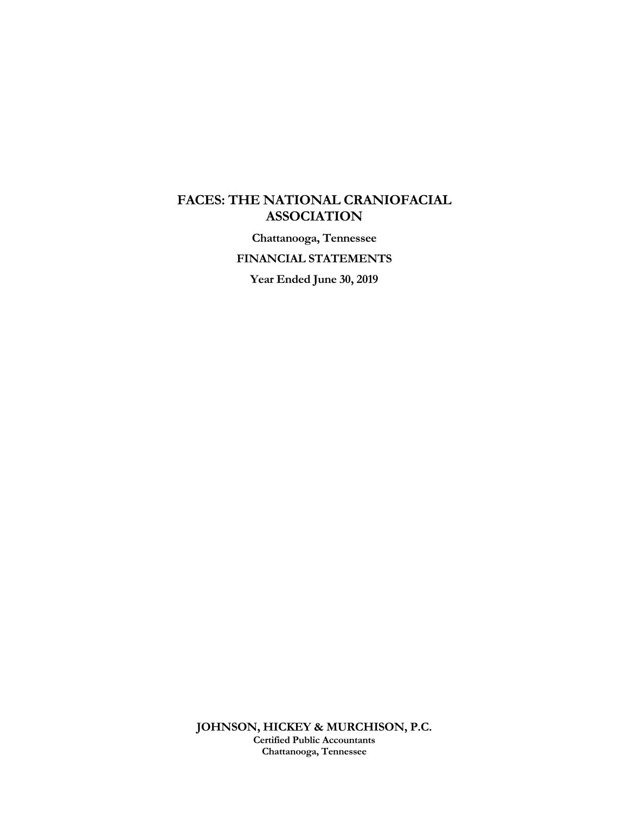### **FACES: THE NATIONAL CRANIOFACIAL ASSOCIATION**

**Chattanooga, Tennessee** 

**FINANCIAL STATEMENTS** 

**Year Ended June 30, 2019**

**JOHNSON, HICKEY & MURCHISON, P.C. Certified Public Accountants Chattanooga, Tennessee**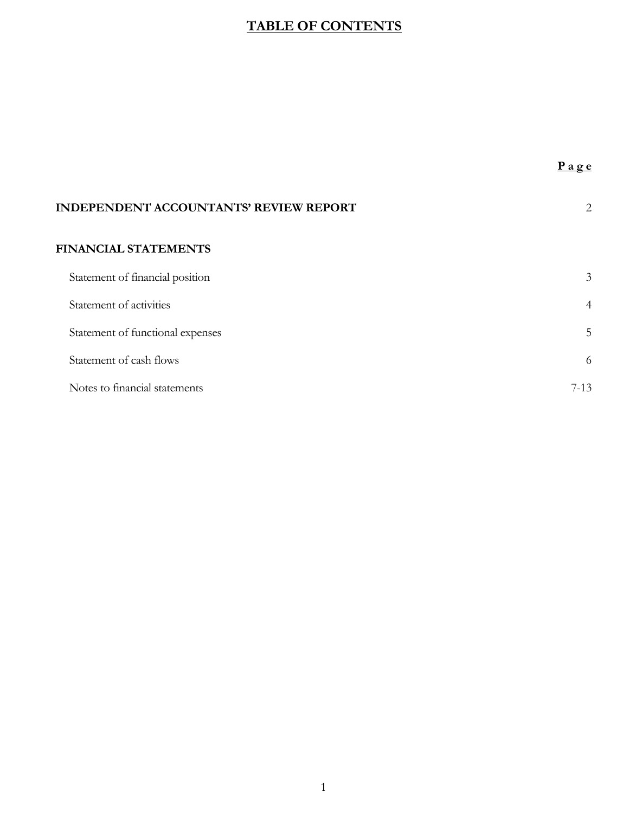## **TABLE OF CONTENTS**

| <b>INDEPENDENT ACCOUNTANTS' REVIEW REPORT</b> | 2              |
|-----------------------------------------------|----------------|
| <b>FINANCIAL STATEMENTS</b>                   |                |
| Statement of financial position               | 3              |
| Statement of activities                       | $\overline{4}$ |
| Statement of functional expenses              | 5              |
| Statement of cash flows                       | 6              |
| Notes to financial statements                 | $7-13$         |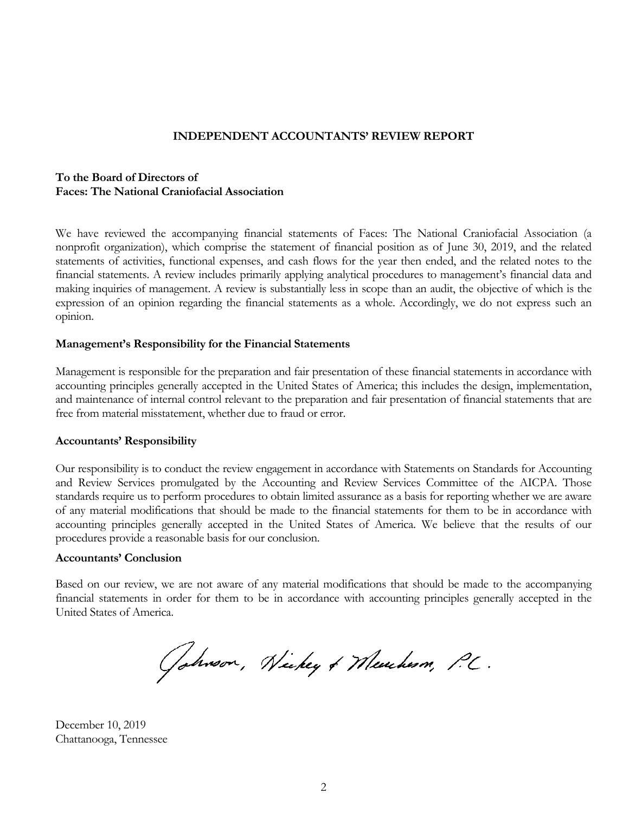#### **INDEPENDENT ACCOUNTANTS' REVIEW REPORT**

### **To the Board of Directors of Faces: The National Craniofacial Association**

We have reviewed the accompanying financial statements of Faces: The National Craniofacial Association (a nonprofit organization), which comprise the statement of financial position as of June 30, 2019, and the related statements of activities, functional expenses, and cash flows for the year then ended, and the related notes to the financial statements. A review includes primarily applying analytical procedures to management's financial data and making inquiries of management. A review is substantially less in scope than an audit, the objective of which is the expression of an opinion regarding the financial statements as a whole. Accordingly, we do not express such an opinion.

#### **Management's Responsibility for the Financial Statements**

Management is responsible for the preparation and fair presentation of these financial statements in accordance with accounting principles generally accepted in the United States of America; this includes the design, implementation, and maintenance of internal control relevant to the preparation and fair presentation of financial statements that are free from material misstatement, whether due to fraud or error.

#### **Accountants' Responsibility**

Our responsibility is to conduct the review engagement in accordance with Statements on Standards for Accounting and Review Services promulgated by the Accounting and Review Services Committee of the AICPA. Those standards require us to perform procedures to obtain limited assurance as a basis for reporting whether we are aware of any material modifications that should be made to the financial statements for them to be in accordance with accounting principles generally accepted in the United States of America. We believe that the results of our procedures provide a reasonable basis for our conclusion.

#### **Accountants' Conclusion**

Based on our review, we are not aware of any material modifications that should be made to the accompanying financial statements in order for them to be in accordance with accounting principles generally accepted in the United States of America.

Gobroon, Nickey & Meucham, P.C.

December 10, 2019 Chattanooga, Tennessee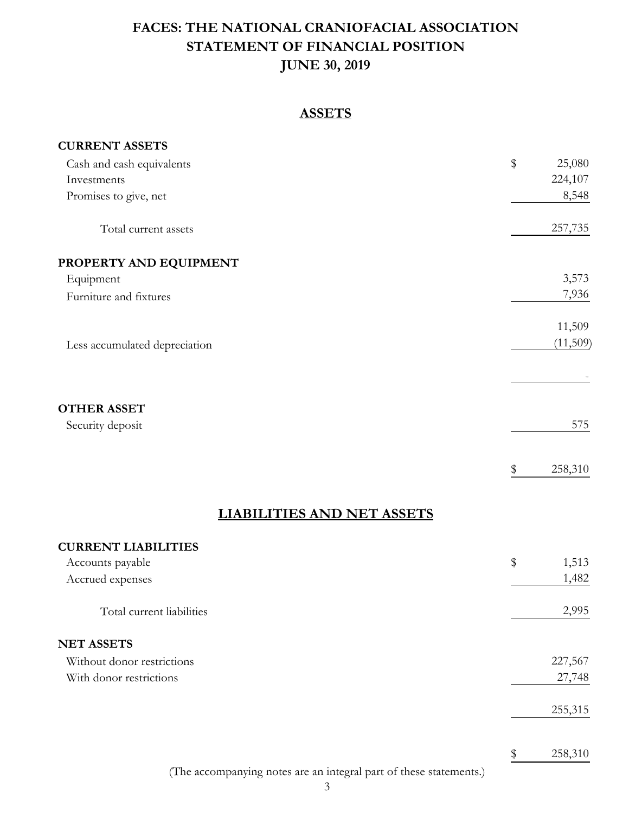# **STATEMENT OF FINANCIAL POSITION JUNE 30, 2019 FACES: THE NATIONAL CRANIOFACIAL ASSOCIATION**

### **ASSETS**

| <b>CURRENT ASSETS</b>         |              |          |
|-------------------------------|--------------|----------|
| Cash and cash equivalents     | $\mathbb{S}$ | 25,080   |
| Investments                   |              | 224,107  |
| Promises to give, net         |              | 8,548    |
| Total current assets          |              | 257,735  |
| PROPERTY AND EQUIPMENT        |              |          |
| Equipment                     |              | 3,573    |
| Furniture and fixtures        |              | 7,936    |
|                               |              | 11,509   |
| Less accumulated depreciation |              | (11,509) |
|                               |              |          |
| <b>OTHER ASSET</b>            |              |          |
| Security deposit              |              | 575      |
|                               | \$           | 258,310  |
|                               |              |          |

## **LIABILITIES AND NET ASSETS**

| <b>CURRENT LIABILITIES</b> |               |
|----------------------------|---------------|
| Accounts payable           | 1,513<br>\$   |
| Accrued expenses           | 1,482         |
| Total current liabilities  | 2,995         |
| <b>NET ASSETS</b>          |               |
| Without donor restrictions | 227,567       |
| With donor restrictions    | 27,748        |
|                            | 255,315       |
|                            | \$<br>258,310 |

(The accompanying notes are an integral part of these statements.)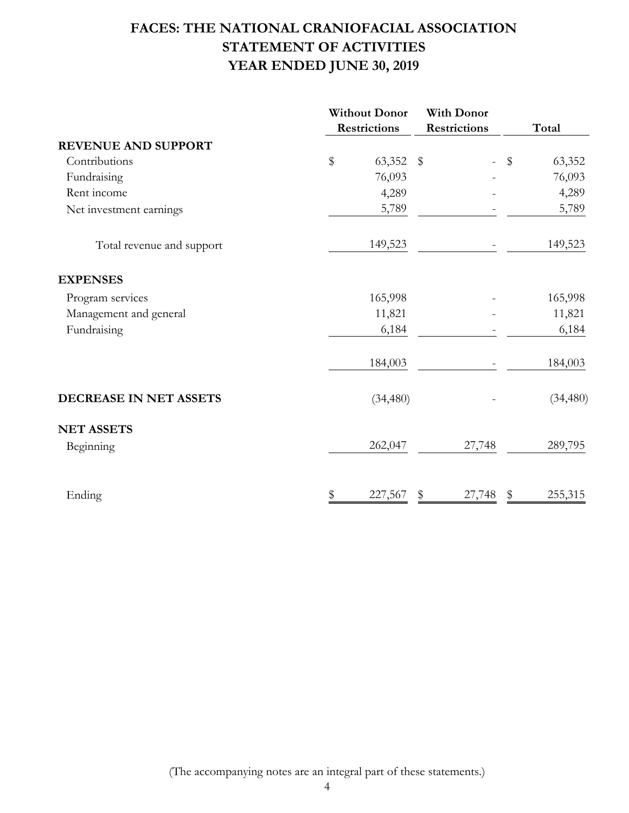# **FACES: THE NATIONAL CRANIOFACIAL ASSOCIATION STATEMENT OF ACTIVITIES YEAR ENDED JUNE 30, 2019**

|           |                                                        |                 |                                                              | Total               |
|-----------|--------------------------------------------------------|-----------------|--------------------------------------------------------------|---------------------|
|           |                                                        |                 |                                                              |                     |
| \$        |                                                        | $\overline{a}$  |                                                              | 63,352              |
| 76,093    |                                                        |                 |                                                              | 76,093              |
| 4,289     |                                                        |                 |                                                              | 4,289               |
| 5,789     |                                                        |                 |                                                              | 5,789               |
| 149,523   |                                                        |                 |                                                              | 149,523             |
|           |                                                        |                 |                                                              |                     |
| 165,998   |                                                        |                 |                                                              | 165,998             |
| 11,821    |                                                        |                 |                                                              | 11,821              |
| 6,184     |                                                        |                 |                                                              | 6,184               |
| 184,003   |                                                        |                 |                                                              | 184,003             |
| (34, 480) |                                                        |                 |                                                              | (34, 480)           |
|           |                                                        |                 |                                                              |                     |
| 262,047   |                                                        |                 |                                                              | 289,795             |
|           |                                                        |                 |                                                              | 255,315             |
| \$        | <b>Without Donor</b><br><b>Restrictions</b><br>227,567 | 63,352 \$<br>\$ | <b>With Donor</b><br><b>Restrictions</b><br>27,748<br>27,748 | $\frac{1}{2}$<br>\$ |

(The accompanying notes are an integral part of these statements.)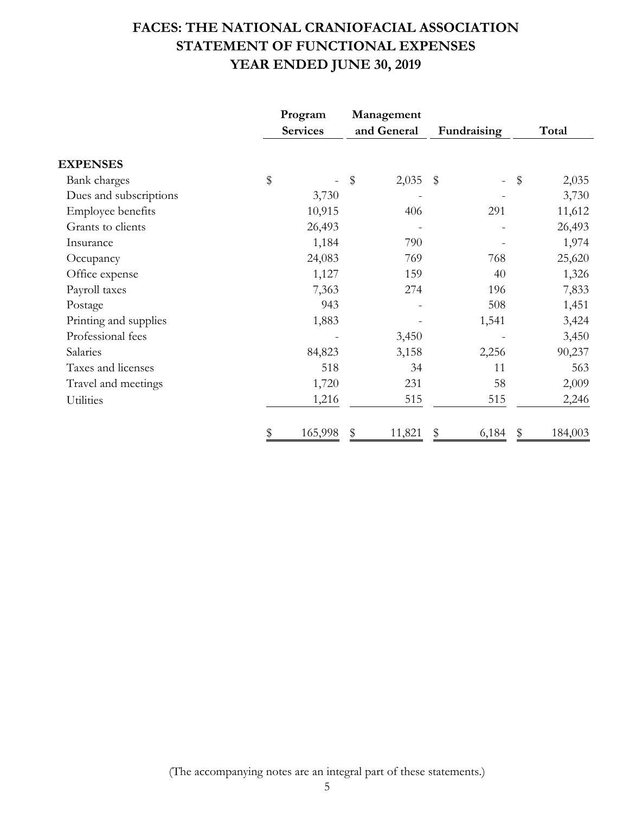# **FACES: THE NATIONAL CRANIOFACIAL ASSOCIATION STATEMENT OF FUNCTIONAL EXPENSES YEAR ENDED JUNE 30, 2019**

|                        | Program         | Management   |             |               |
|------------------------|-----------------|--------------|-------------|---------------|
|                        | <b>Services</b> | and General  | Fundraising | Total         |
| <b>EXPENSES</b>        |                 |              |             |               |
| Bank charges           | \$              | \$<br>2,035  | \$          | \$<br>2,035   |
| Dues and subscriptions | 3,730           |              |             | 3,730         |
| Employee benefits      | 10,915          | 406          | 291         | 11,612        |
| Grants to clients      | 26,493          |              |             | 26,493        |
| Insurance              | 1,184           | 790          |             | 1,974         |
| Occupancy              | 24,083          | 769          | 768         | 25,620        |
| Office expense         | 1,127           | 159          | 40          | 1,326         |
| Payroll taxes          | 7,363           | 274          | 196         | 7,833         |
| Postage                | 943             |              | 508         | 1,451         |
| Printing and supplies  | 1,883           |              | 1,541       | 3,424         |
| Professional fees      |                 | 3,450        |             | 3,450         |
| Salaries               | 84,823          | 3,158        | 2,256       | 90,237        |
| Taxes and licenses     | 518             | 34           | 11          | 563           |
| Travel and meetings    | 1,720           | 231          | 58          | 2,009         |
| Utilities              | 1,216           | 515          | 515         | 2,246         |
|                        |                 |              |             |               |
|                        | \$<br>165,998   | \$<br>11,821 | \$<br>6,184 | \$<br>184,003 |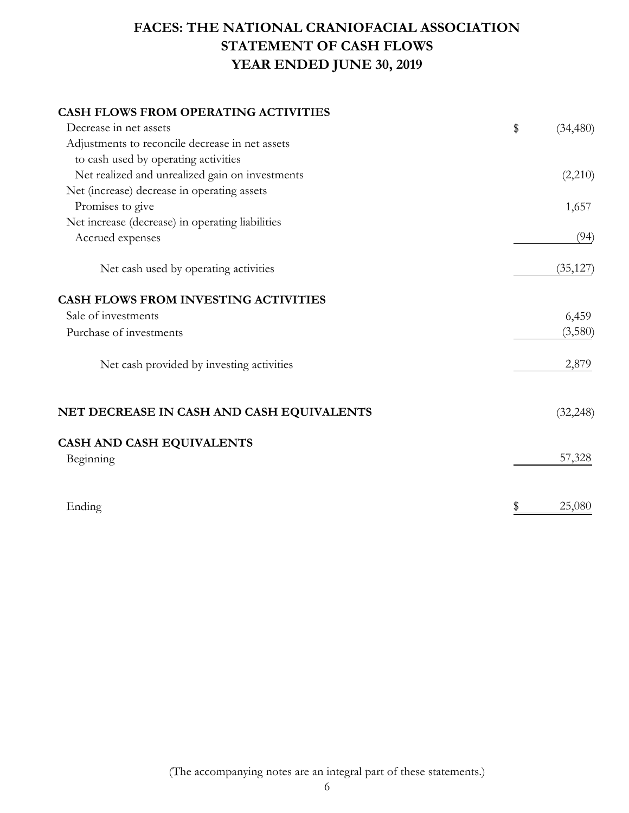# **FACES: THE NATIONAL CRANIOFACIAL ASSOCIATION STATEMENT OF CASH FLOWS YEAR ENDED JUNE 30, 2019**

### **CASH FLOWS FROM OPERATING ACTIVITIES**

| Decrease in net assets                           | \$<br>(34, 480) |
|--------------------------------------------------|-----------------|
| Adjustments to reconcile decrease in net assets  |                 |
| to cash used by operating activities             |                 |
| Net realized and unrealized gain on investments  | (2,210)         |
| Net (increase) decrease in operating assets      |                 |
| Promises to give                                 | 1,657           |
| Net increase (decrease) in operating liabilities |                 |
| Accrued expenses                                 | (94)            |
| Net cash used by operating activities            | (35, 127)       |
| <b>CASH FLOWS FROM INVESTING ACTIVITIES</b>      |                 |
| Sale of investments                              | 6,459           |
| Purchase of investments                          | (3,580)         |
| Net cash provided by investing activities        | 2,879           |
| NET DECREASE IN CASH AND CASH EQUIVALENTS        | (32, 248)       |
| <b>CASH AND CASH EQUIVALENTS</b>                 |                 |
| Beginning                                        | 57,328          |
| Ending                                           | \$<br>25,080    |

(The accompanying notes are an integral part of these statements.)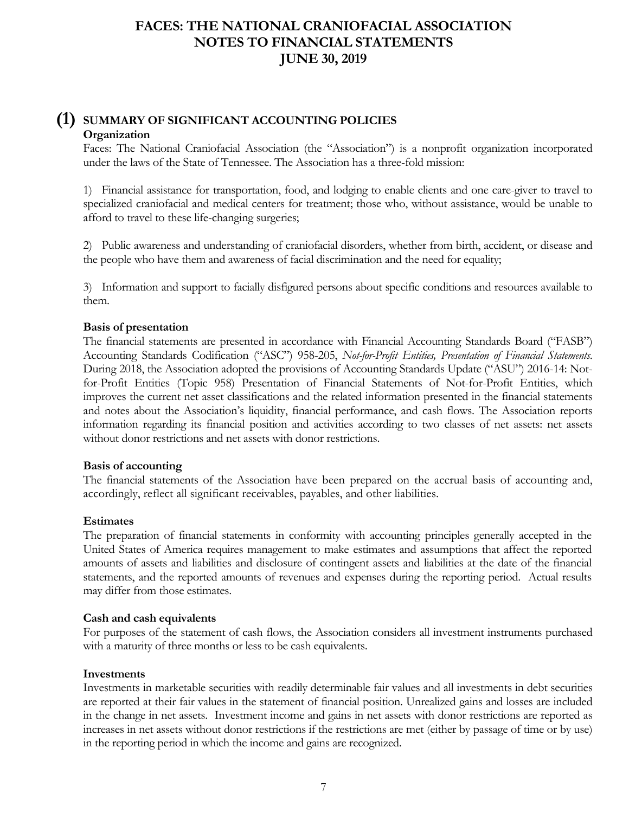### **(1) SUMMARY OF SIGNIFICANT ACCOUNTING POLICIES Organization**

Faces: The National Craniofacial Association (the "Association") is a nonprofit organization incorporated under the laws of the State of Tennessee. The Association has a three-fold mission:

1) Financial assistance for transportation, food, and lodging to enable clients and one care-giver to travel to specialized craniofacial and medical centers for treatment; those who, without assistance, would be unable to afford to travel to these life-changing surgeries;

2) Public awareness and understanding of craniofacial disorders, whether from birth, accident, or disease and the people who have them and awareness of facial discrimination and the need for equality;

3) Information and support to facially disfigured persons about specific conditions and resources available to them.

#### **Basis of presentation**

The financial statements are presented in accordance with Financial Accounting Standards Board ("FASB") Accounting Standards Codification ("ASC") 958-205, *Not-for-Profit Entities, Presentation of Financial Statements*. During 2018, the Association adopted the provisions of Accounting Standards Update ("ASU") 2016-14: Notfor-Profit Entities (Topic 958) Presentation of Financial Statements of Not-for-Profit Entities, which improves the current net asset classifications and the related information presented in the financial statements and notes about the Association's liquidity, financial performance, and cash flows. The Association reports information regarding its financial position and activities according to two classes of net assets: net assets without donor restrictions and net assets with donor restrictions.

#### **Basis of accounting**

The financial statements of the Association have been prepared on the accrual basis of accounting and, accordingly, reflect all significant receivables, payables, and other liabilities.

#### **Estimates**

The preparation of financial statements in conformity with accounting principles generally accepted in the United States of America requires management to make estimates and assumptions that affect the reported amounts of assets and liabilities and disclosure of contingent assets and liabilities at the date of the financial statements, and the reported amounts of revenues and expenses during the reporting period. Actual results may differ from those estimates.

#### **Cash and cash equivalents**

For purposes of the statement of cash flows, the Association considers all investment instruments purchased with a maturity of three months or less to be cash equivalents.

#### **Investments**

Investments in marketable securities with readily determinable fair values and all investments in debt securities are reported at their fair values in the statement of financial position. Unrealized gains and losses are included in the change in net assets. Investment income and gains in net assets with donor restrictions are reported as increases in net assets without donor restrictions if the restrictions are met (either by passage of time or by use) in the reporting period in which the income and gains are recognized.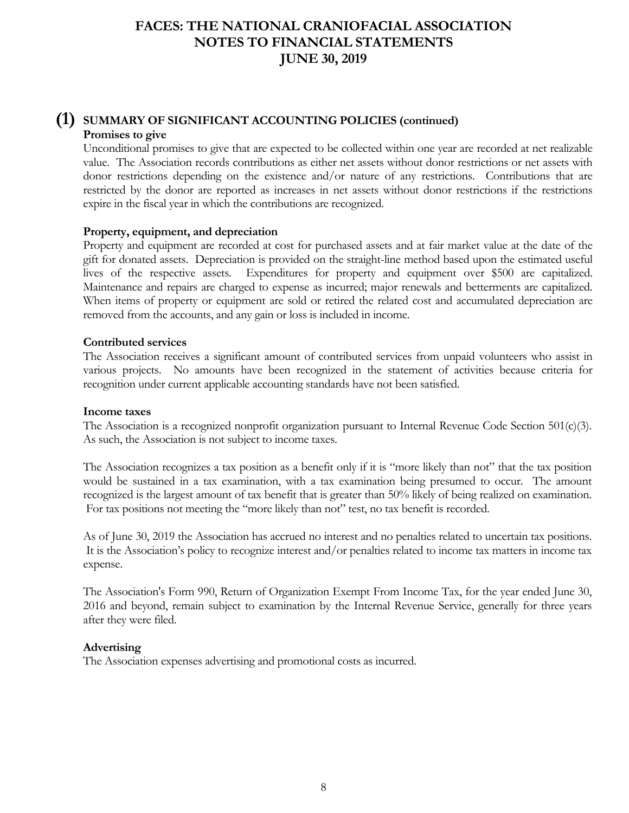### **(1) SUMMARY OF SIGNIFICANT ACCOUNTING POLICIES (continued) Promises to give**

Unconditional promises to give that are expected to be collected within one year are recorded at net realizable value. The Association records contributions as either net assets without donor restrictions or net assets with donor restrictions depending on the existence and/or nature of any restrictions. Contributions that are restricted by the donor are reported as increases in net assets without donor restrictions if the restrictions expire in the fiscal year in which the contributions are recognized.

#### **Property, equipment, and depreciation**

Property and equipment are recorded at cost for purchased assets and at fair market value at the date of the gift for donated assets. Depreciation is provided on the straight-line method based upon the estimated useful lives of the respective assets. Expenditures for property and equipment over \$500 are capitalized. Maintenance and repairs are charged to expense as incurred; major renewals and betterments are capitalized. When items of property or equipment are sold or retired the related cost and accumulated depreciation are removed from the accounts, and any gain or loss is included in income.

#### **Contributed services**

The Association receives a significant amount of contributed services from unpaid volunteers who assist in various projects. No amounts have been recognized in the statement of activities because criteria for recognition under current applicable accounting standards have not been satisfied.

#### **Income taxes**

The Association is a recognized nonprofit organization pursuant to Internal Revenue Code Section 501(c)(3). As such, the Association is not subject to income taxes.

The Association recognizes a tax position as a benefit only if it is "more likely than not" that the tax position would be sustained in a tax examination, with a tax examination being presumed to occur. The amount recognized is the largest amount of tax benefit that is greater than 50% likely of being realized on examination. For tax positions not meeting the "more likely than not" test, no tax benefit is recorded.

As of June 30, 2019 the Association has accrued no interest and no penalties related to uncertain tax positions. It is the Association's policy to recognize interest and/or penalties related to income tax matters in income tax expense.

The Association's Form 990, Return of Organization Exempt From Income Tax, for the year ended June 30, 2016 and beyond, remain subject to examination by the Internal Revenue Service, generally for three years after they were filed.

#### **Advertising**

The Association expenses advertising and promotional costs as incurred.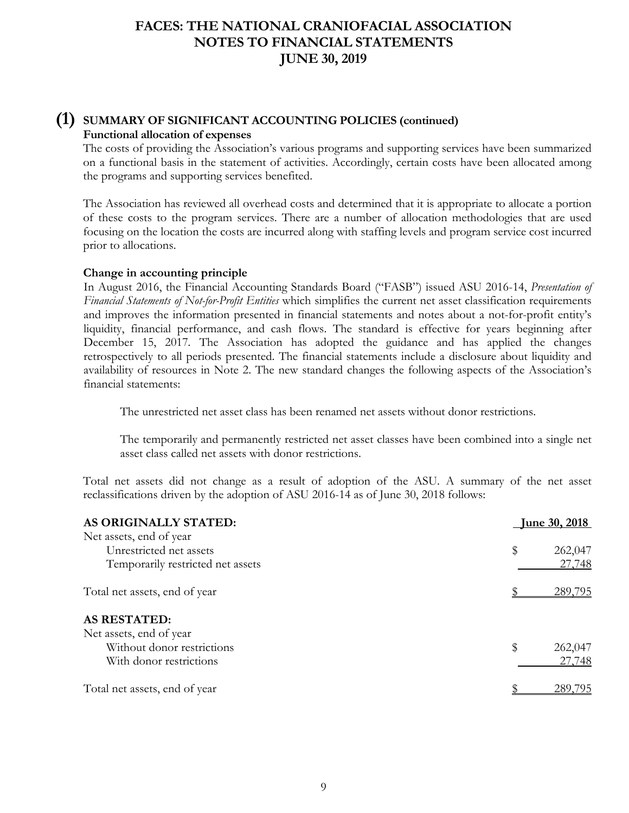### **(1) SUMMARY OF SIGNIFICANT ACCOUNTING POLICIES (continued) Functional allocation of expenses**

The costs of providing the Association's various programs and supporting services have been summarized on a functional basis in the statement of activities. Accordingly, certain costs have been allocated among the programs and supporting services benefited.

The Association has reviewed all overhead costs and determined that it is appropriate to allocate a portion of these costs to the program services. There are a number of allocation methodologies that are used focusing on the location the costs are incurred along with staffing levels and program service cost incurred prior to allocations.

#### **Change in accounting principle**

In August 2016, the Financial Accounting Standards Board ("FASB") issued ASU 2016-14, *Presentation of Financial Statements of Not-for-Profit Entities* which simplifies the current net asset classification requirements and improves the information presented in financial statements and notes about a not-for-profit entity's liquidity, financial performance, and cash flows. The standard is effective for years beginning after December 15, 2017*.* The Association has adopted the guidance and has applied the changes retrospectively to all periods presented. The financial statements include a disclosure about liquidity and availability of resources in Note 2. The new standard changes the following aspects of the Association's financial statements:

The unrestricted net asset class has been renamed net assets without donor restrictions.

 The temporarily and permanently restricted net asset classes have been combined into a single net asset class called net assets with donor restrictions.

Total net assets did not change as a result of adoption of the ASU. A summary of the net asset reclassifications driven by the adoption of ASU 2016-14 as of June 30, 2018 follows:

| AS ORIGINALLY STATED:             | <u>Iune 30, 2018</u> |
|-----------------------------------|----------------------|
| Net assets, end of year           |                      |
| Unrestricted net assets           | \$<br>262,047        |
| Temporarily restricted net assets | 27,748               |
| Total net assets, end of year     | 289,795              |
| <b>AS RESTATED:</b>               |                      |
| Net assets, end of year           |                      |
| Without donor restrictions        | \$<br>262,047        |
| With donor restrictions           | 27,748               |
| Total net assets, end of year     | 289.795              |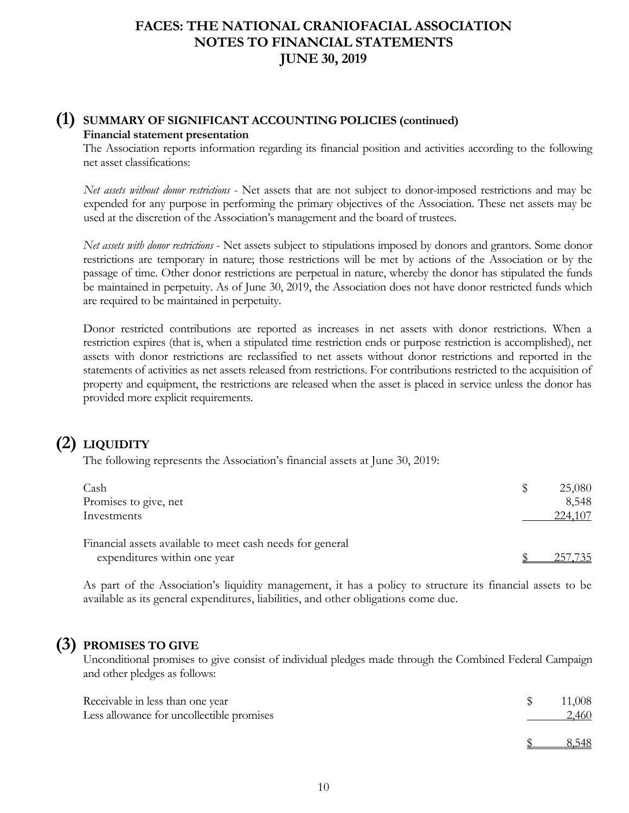### **(1) SUMMARY OF SIGNIFICANT ACCOUNTING POLICIES (continued) Financial statement presentation**

The Association reports information regarding its financial position and activities according to the following net asset classifications:

*Net assets without donor restrictions* - Net assets that are not subject to donor-imposed restrictions and may be expended for any purpose in performing the primary objectives of the Association. These net assets may be used at the discretion of the Association's management and the board of trustees.

*Net assets with donor restrictions* - Net assets subject to stipulations imposed by donors and grantors. Some donor restrictions are temporary in nature; those restrictions will be met by actions of the Association or by the passage of time. Other donor restrictions are perpetual in nature, whereby the donor has stipulated the funds be maintained in perpetuity. As of June 30, 2019, the Association does not have donor restricted funds which are required to be maintained in perpetuity.

Donor restricted contributions are reported as increases in net assets with donor restrictions. When a restriction expires (that is, when a stipulated time restriction ends or purpose restriction is accomplished), net assets with donor restrictions are reclassified to net assets without donor restrictions and reported in the statements of activities as net assets released from restrictions. For contributions restricted to the acquisition of property and equipment, the restrictions are released when the asset is placed in service unless the donor has provided more explicit requirements.

# **(2) LIQUIDITY**

The following represents the Association's financial assets at June 30, 2019:

| Cash                                                      | 25,080  |
|-----------------------------------------------------------|---------|
| Promises to give, net                                     | 8,548   |
| Investments                                               | 224,107 |
| Financial assets available to meet cash needs for general |         |
| expenditures within one year                              | 25/735  |

As part of the Association's liquidity management, it has a policy to structure its financial assets to be available as its general expenditures, liabilities, and other obligations come due.

## **(3) PROMISES TO GIVE**

Unconditional promises to give consist of individual pledges made through the Combined Federal Campaign and other pledges as follows:

| Receivable in less than one year<br>Less allowance for uncollectible promises | 11,008<br>2,460 |
|-------------------------------------------------------------------------------|-----------------|
|                                                                               | 8.548           |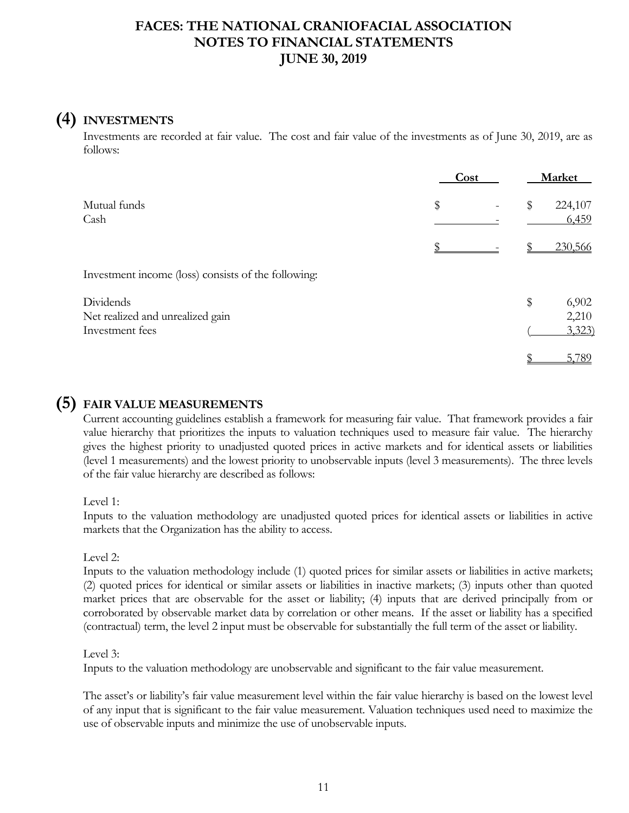# **(4) INVESTMENTS**

Investments are recorded at fair value. The cost and fair value of the investments as of June 30, 2019, are as follows:

|                                                     | Cost | Market                 |
|-----------------------------------------------------|------|------------------------|
| Mutual funds<br>Cash                                | \$   | \$<br>224,107<br>6,459 |
|                                                     |      | 230,566                |
| Investment income (loss) consists of the following: |      |                        |
| Dividends<br>Net realized and unrealized gain       |      | \$<br>6,902<br>2,210   |
| Investment fees                                     |      | 3,323                  |
|                                                     |      | 5,789                  |

### **(5) FAIR VALUE MEASUREMENTS**

Current accounting guidelines establish a framework for measuring fair value. That framework provides a fair value hierarchy that prioritizes the inputs to valuation techniques used to measure fair value. The hierarchy gives the highest priority to unadjusted quoted prices in active markets and for identical assets or liabilities (level 1 measurements) and the lowest priority to unobservable inputs (level 3 measurements). The three levels of the fair value hierarchy are described as follows:

Level 1:

Inputs to the valuation methodology are unadjusted quoted prices for identical assets or liabilities in active markets that the Organization has the ability to access.

Level 2:

Inputs to the valuation methodology include (1) quoted prices for similar assets or liabilities in active markets; (2) quoted prices for identical or similar assets or liabilities in inactive markets; (3) inputs other than quoted market prices that are observable for the asset or liability; (4) inputs that are derived principally from or corroborated by observable market data by correlation or other means. If the asset or liability has a specified (contractual) term, the level 2 input must be observable for substantially the full term of the asset or liability.

#### Level 3:

Inputs to the valuation methodology are unobservable and significant to the fair value measurement.

The asset's or liability's fair value measurement level within the fair value hierarchy is based on the lowest level of any input that is significant to the fair value measurement. Valuation techniques used need to maximize the use of observable inputs and minimize the use of unobservable inputs.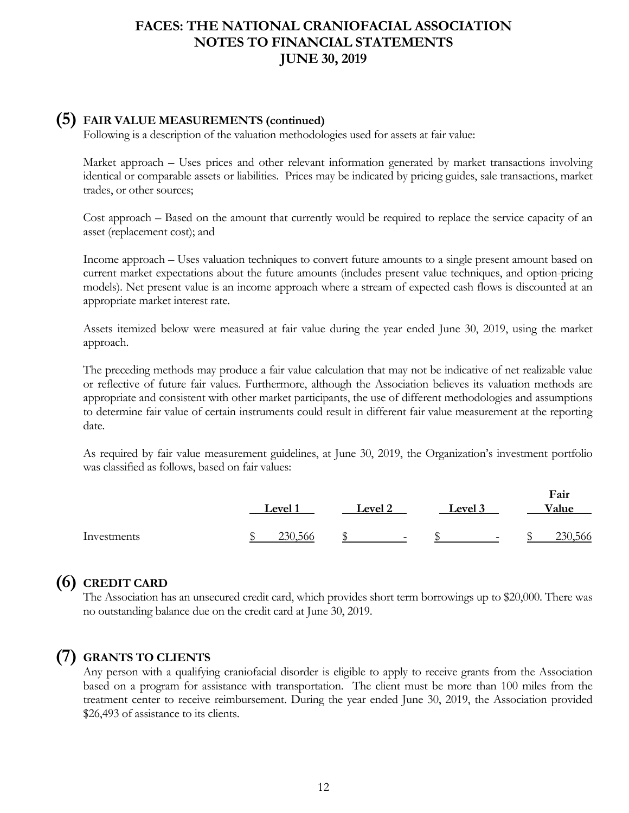### **(5) FAIR VALUE MEASUREMENTS (continued)**

Following is a description of the valuation methodologies used for assets at fair value:

Market approach – Uses prices and other relevant information generated by market transactions involving identical or comparable assets or liabilities. Prices may be indicated by pricing guides, sale transactions, market trades, or other sources;

Cost approach – Based on the amount that currently would be required to replace the service capacity of an asset (replacement cost); and

Income approach – Uses valuation techniques to convert future amounts to a single present amount based on current market expectations about the future amounts (includes present value techniques, and option-pricing models). Net present value is an income approach where a stream of expected cash flows is discounted at an appropriate market interest rate.

Assets itemized below were measured at fair value during the year ended June 30, 2019, using the market approach.

The preceding methods may produce a fair value calculation that may not be indicative of net realizable value or reflective of future fair values. Furthermore, although the Association believes its valuation methods are appropriate and consistent with other market participants, the use of different methodologies and assumptions to determine fair value of certain instruments could result in different fair value measurement at the reporting date.

As required by fair value measurement guidelines, at June 30, 2019, the Organization's investment portfolio was classified as follows, based on fair values:

|             | Level 1 | Level 2                  | Level 3                  | Fair<br>Value |
|-------------|---------|--------------------------|--------------------------|---------------|
| Investments | 230.566 | $\overline{\phantom{0}}$ | $\overline{\phantom{a}}$ | 230,566       |

## **(6) CREDIT CARD**

The Association has an unsecured credit card, which provides short term borrowings up to \$20,000. There was no outstanding balance due on the credit card at June 30, 2019.

### **(7) GRANTS TO CLIENTS**

Any person with a qualifying craniofacial disorder is eligible to apply to receive grants from the Association based on a program for assistance with transportation. The client must be more than 100 miles from the treatment center to receive reimbursement. During the year ended June 30, 2019, the Association provided \$26,493 of assistance to its clients.